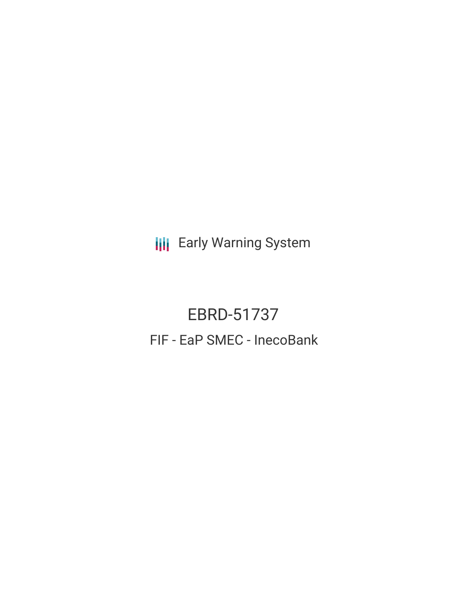**III** Early Warning System

EBRD-51737 FIF - EaP SMEC - InecoBank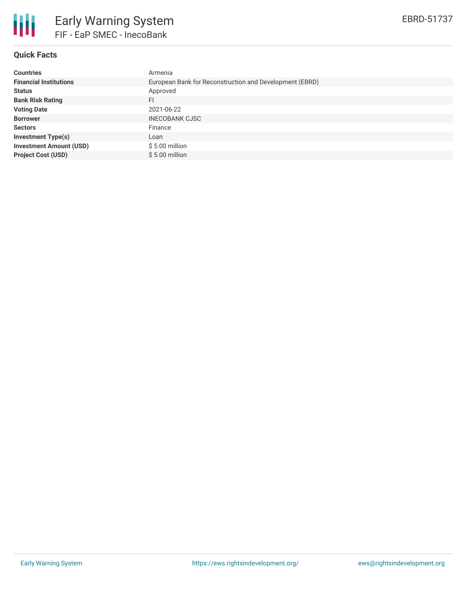

# **Quick Facts**

| <b>Countries</b>               | Armenia                                                 |
|--------------------------------|---------------------------------------------------------|
| <b>Financial Institutions</b>  | European Bank for Reconstruction and Development (EBRD) |
| <b>Status</b>                  | Approved                                                |
| <b>Bank Risk Rating</b>        | FI                                                      |
| <b>Voting Date</b>             | 2021-06-22                                              |
| <b>Borrower</b>                | <b>INECOBANK CJSC</b>                                   |
| <b>Sectors</b>                 | Finance                                                 |
| <b>Investment Type(s)</b>      | Loan                                                    |
| <b>Investment Amount (USD)</b> | $$5.00$ million                                         |
| <b>Project Cost (USD)</b>      | $$5.00$ million                                         |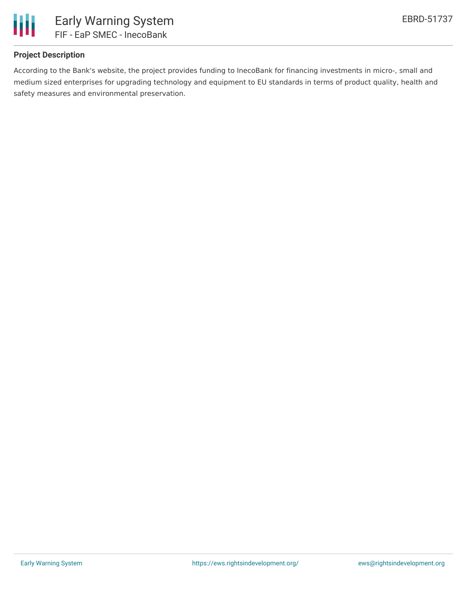

# **Project Description**

According to the Bank's website, the project provides funding to InecoBank for financing investments in micro-, small and medium sized enterprises for upgrading technology and equipment to EU standards in terms of product quality, health and safety measures and environmental preservation.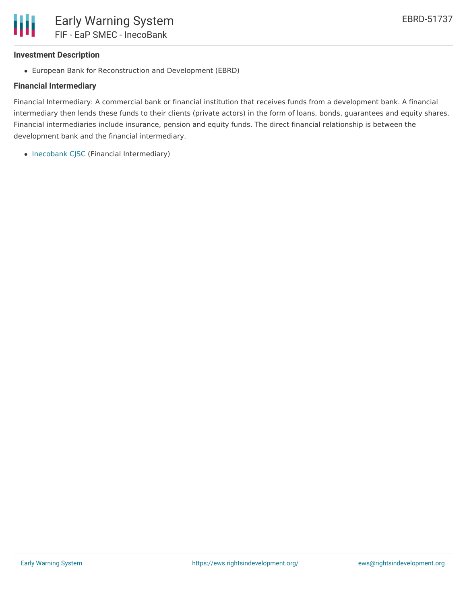## **Investment Description**

European Bank for Reconstruction and Development (EBRD)

# **Financial Intermediary**

Financial Intermediary: A commercial bank or financial institution that receives funds from a development bank. A financial intermediary then lends these funds to their clients (private actors) in the form of loans, bonds, guarantees and equity shares. Financial intermediaries include insurance, pension and equity funds. The direct financial relationship is between the development bank and the financial intermediary.

• [Inecobank](file:///actor/3005/) CJSC (Financial Intermediary)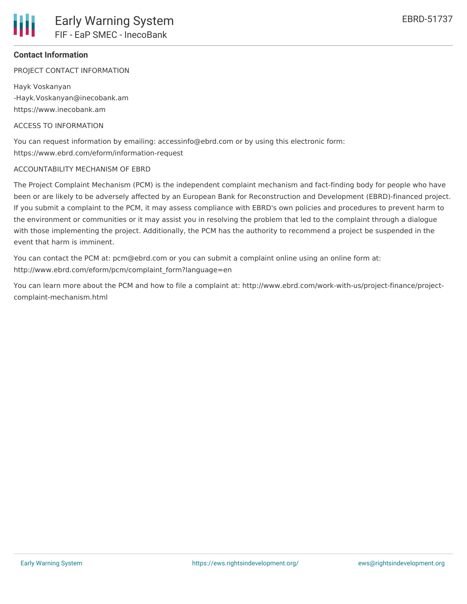## **Contact Information**

PROJECT CONTACT INFORMATION

Hayk Voskanyan -Hayk.Voskanyan@inecobank.am https://www.inecobank.am

#### ACCESS TO INFORMATION

You can request information by emailing: accessinfo@ebrd.com or by using this electronic form: https://www.ebrd.com/eform/information-request

#### ACCOUNTABILITY MECHANISM OF EBRD

The Project Complaint Mechanism (PCM) is the independent complaint mechanism and fact-finding body for people who have been or are likely to be adversely affected by an European Bank for Reconstruction and Development (EBRD)-financed project. If you submit a complaint to the PCM, it may assess compliance with EBRD's own policies and procedures to prevent harm to the environment or communities or it may assist you in resolving the problem that led to the complaint through a dialogue with those implementing the project. Additionally, the PCM has the authority to recommend a project be suspended in the event that harm is imminent.

You can contact the PCM at: pcm@ebrd.com or you can submit a complaint online using an online form at: http://www.ebrd.com/eform/pcm/complaint\_form?language=en

You can learn more about the PCM and how to file a complaint at: http://www.ebrd.com/work-with-us/project-finance/projectcomplaint-mechanism.html